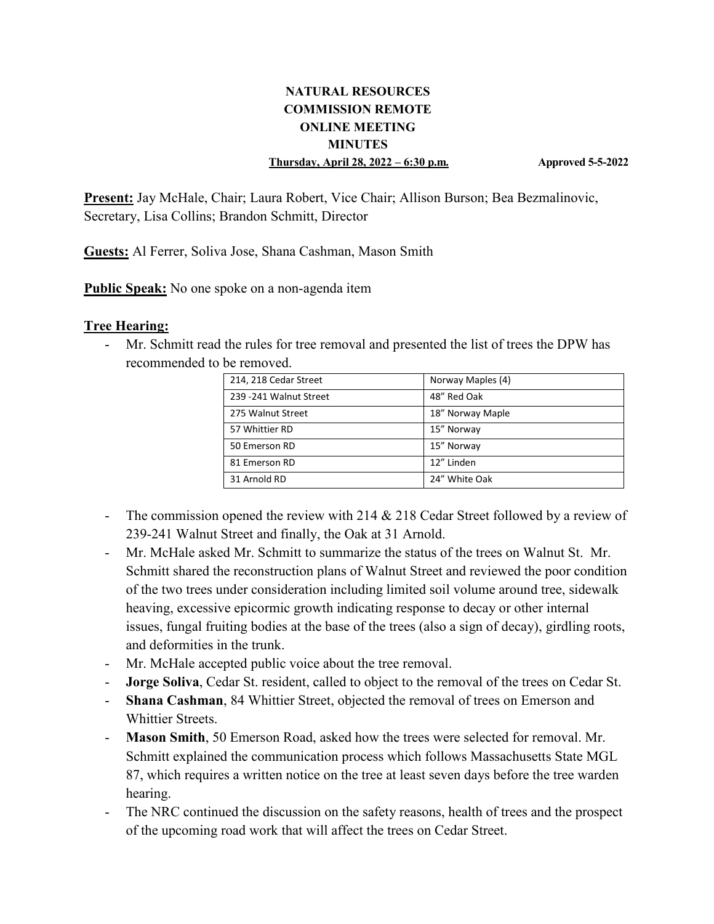#### **NATURAL RESOURCES COMMISSION REMOTE ONLINE MEETING MINUTES Thursday, April 28, 2022 – 6:30 p.m. Approved 5-5-2022**

**Present:** Jay McHale, Chair; Laura Robert, Vice Chair; Allison Burson; Bea Bezmalinovic, Secretary, Lisa Collins; Brandon Schmitt, Director

**Guests:** Al Ferrer, Soliva Jose, Shana Cashman, Mason Smith

**Public Speak:** No one spoke on a non-agenda item

#### **Tree Hearing:**

- Mr. Schmitt read the rules for tree removal and presented the list of trees the DPW has recommended to be removed.

| 214, 218 Cedar Street   | Norway Maples (4) |
|-------------------------|-------------------|
| 239 - 241 Walnut Street | 48" Red Oak       |
| 275 Walnut Street       | 18" Norway Maple  |
| 57 Whittier RD          | 15" Norway        |
| 50 Emerson RD           | 15" Norway        |
| 81 Emerson RD           | 12" Linden        |
| 31 Arnold RD            | 24" White Oak     |

- The commission opened the review with 214  $&$  218 Cedar Street followed by a review of 239-241 Walnut Street and finally, the Oak at 31 Arnold.
- Mr. McHale asked Mr. Schmitt to summarize the status of the trees on Walnut St. Mr. Schmitt shared the reconstruction plans of Walnut Street and reviewed the poor condition of the two trees under consideration including limited soil volume around tree, sidewalk heaving, excessive epicormic growth indicating response to decay or other internal issues, fungal fruiting bodies at the base of the trees (also a sign of decay), girdling roots, and deformities in the trunk.
- Mr. McHale accepted public voice about the tree removal.
- **Jorge Soliva**, Cedar St. resident, called to object to the removal of the trees on Cedar St.
- **Shana Cashman**, 84 Whittier Street, objected the removal of trees on Emerson and Whittier Streets.
- **Mason Smith**, 50 Emerson Road, asked how the trees were selected for removal. Mr. Schmitt explained the communication process which follows Massachusetts State MGL 87, which requires a written notice on the tree at least seven days before the tree warden hearing.
- The NRC continued the discussion on the safety reasons, health of trees and the prospect of the upcoming road work that will affect the trees on Cedar Street.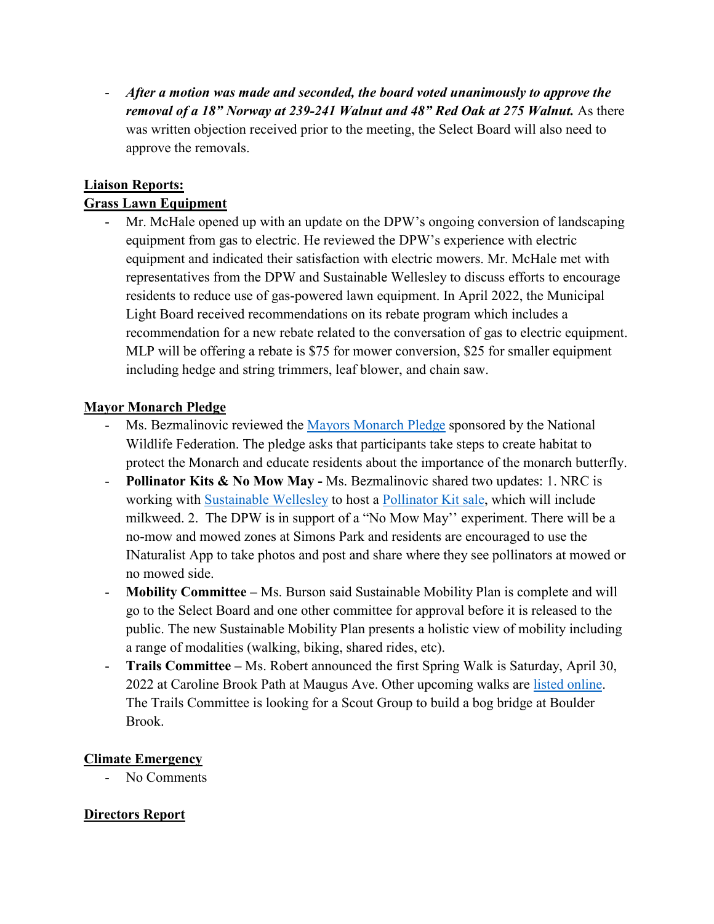- *After a motion was made and seconded, the board voted unanimously to approve the removal of a 18" Norway at 239-241 Walnut and 48" Red Oak at 275 Walnut.* As there was written objection received prior to the meeting, the Select Board will also need to approve the removals.

### **Liaison Reports:**

### **Grass Lawn Equipment**

- Mr. McHale opened up with an update on the DPW's ongoing conversion of landscaping equipment from gas to electric. He reviewed the DPW's experience with electric equipment and indicated their satisfaction with electric mowers. Mr. McHale met with representatives from the DPW and Sustainable Wellesley to discuss efforts to encourage residents to reduce use of gas-powered lawn equipment. In April 2022, the Municipal Light Board received recommendations on its rebate program which includes a recommendation for a new rebate related to the conversation of gas to electric equipment. MLP will be offering a rebate is \$75 for mower conversion, \$25 for smaller equipment including hedge and string trimmers, leaf blower, and chain saw.

### **Mayor Monarch Pledge**

- Ms. Bezmalinovic reviewed the [Mayors Monarch Pledge](https://www.nwf.org/MayorsMonarchPledge/About) sponsored by the National Wildlife Federation. The pledge asks that participants take steps to create habitat to protect the Monarch and educate residents about the importance of the monarch butterfly.
- **Pollinator Kits & No Mow May -** Ms. Bezmalinovic shared two updates: 1. NRC is working with [Sustainable Wellesley](http://sustainablewellesley.com/) to host a [Pollinator Kit sale,](https://www.sustainablewellesley.com/plantsale.html) which will include milkweed. 2. The DPW is in support of a "No Mow May'' experiment. There will be a no-mow and mowed zones at Simons Park and residents are encouraged to use the INaturalist App to take photos and post and share where they see pollinators at mowed or no mowed side.
- **Mobility Committee –** Ms. Burson said Sustainable Mobility Plan is complete and will go to the Select Board and one other committee for approval before it is released to the public. The new Sustainable Mobility Plan presents a holistic view of mobility including a range of modalities (walking, biking, shared rides, etc).
- **Trails Committee –** Ms. Robert announced the first Spring Walk is Saturday, April 30, 2022 at Caroline Brook Path at Maugus Ave. Other upcoming walks are [listed online.](https://wellesleyma.gov/419/Guided-Walks-Events) The Trails Committee is looking for a Scout Group to build a bog bridge at Boulder Brook.

#### **Climate Emergency**

- No Comments

# **Directors Report**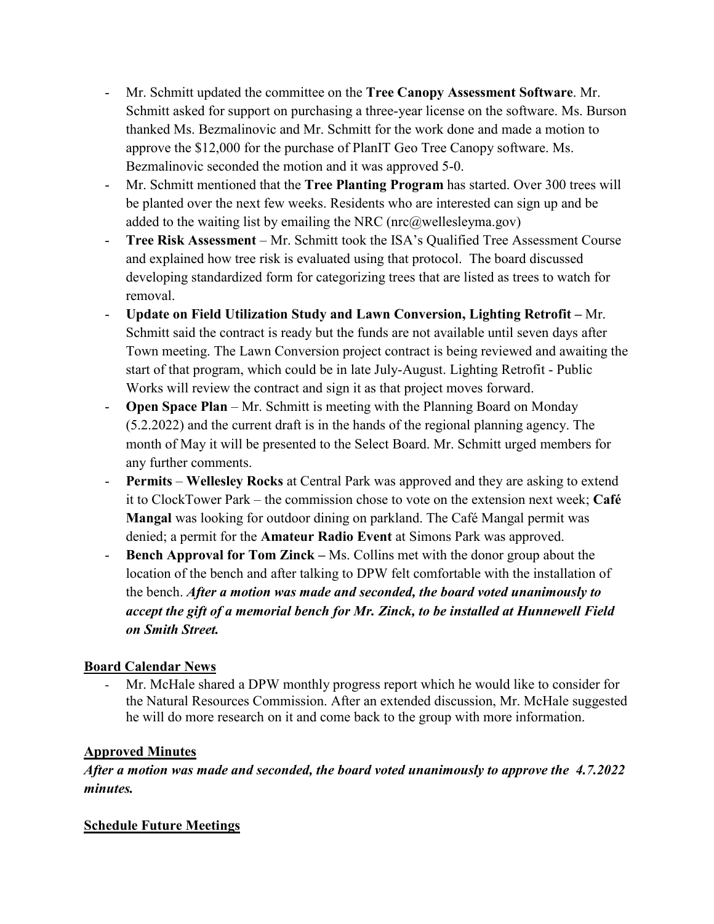- Mr. Schmitt updated the committee on the **Tree Canopy Assessment Software**. Mr. Schmitt asked for support on purchasing a three-year license on the software. Ms. Burson thanked Ms. Bezmalinovic and Mr. Schmitt for the work done and made a motion to approve the \$12,000 for the purchase of PlanIT Geo Tree Canopy software. Ms. Bezmalinovic seconded the motion and it was approved 5-0.
- Mr. Schmitt mentioned that the **Tree Planting Program** has started. Over 300 trees will be planted over the next few weeks. Residents who are interested can sign up and be added to the waiting list by emailing the NRC ( $\text{mc}(a\text{welles}$ ) well
- **Tree Risk Assessment** Mr. Schmitt took the ISA's Qualified Tree Assessment Course and explained how tree risk is evaluated using that protocol. The board discussed developing standardized form for categorizing trees that are listed as trees to watch for removal.
- **Update on Field Utilization Study and Lawn Conversion, Lighting Retrofit –** Mr. Schmitt said the contract is ready but the funds are not available until seven days after Town meeting. The Lawn Conversion project contract is being reviewed and awaiting the start of that program, which could be in late July-August. Lighting Retrofit - Public Works will review the contract and sign it as that project moves forward.
- **Open Space Plan** Mr. Schmitt is meeting with the Planning Board on Monday (5.2.2022) and the current draft is in the hands of the regional planning agency. The month of May it will be presented to the Select Board. Mr. Schmitt urged members for any further comments.
- **Permits Wellesley Rocks** at Central Park was approved and they are asking to extend it to ClockTower Park – the commission chose to vote on the extension next week; **Café Mangal** was looking for outdoor dining on parkland. The Café Mangal permit was denied; a permit for the **Amateur Radio Event** at Simons Park was approved.
- **Bench Approval for Tom Zinck –** Ms. Collins met with the donor group about the location of the bench and after talking to DPW felt comfortable with the installation of the bench. *After a motion was made and seconded, the board voted unanimously to accept the gift of a memorial bench for Mr. Zinck, to be installed at Hunnewell Field on Smith Street.*

# **Board Calendar News**

- Mr. McHale shared a DPW monthly progress report which he would like to consider for the Natural Resources Commission. After an extended discussion, Mr. McHale suggested he will do more research on it and come back to the group with more information.

# **Approved Minutes**

*After a motion was made and seconded, the board voted unanimously to approve the 4.7.2022 minutes.*

# **Schedule Future Meetings**